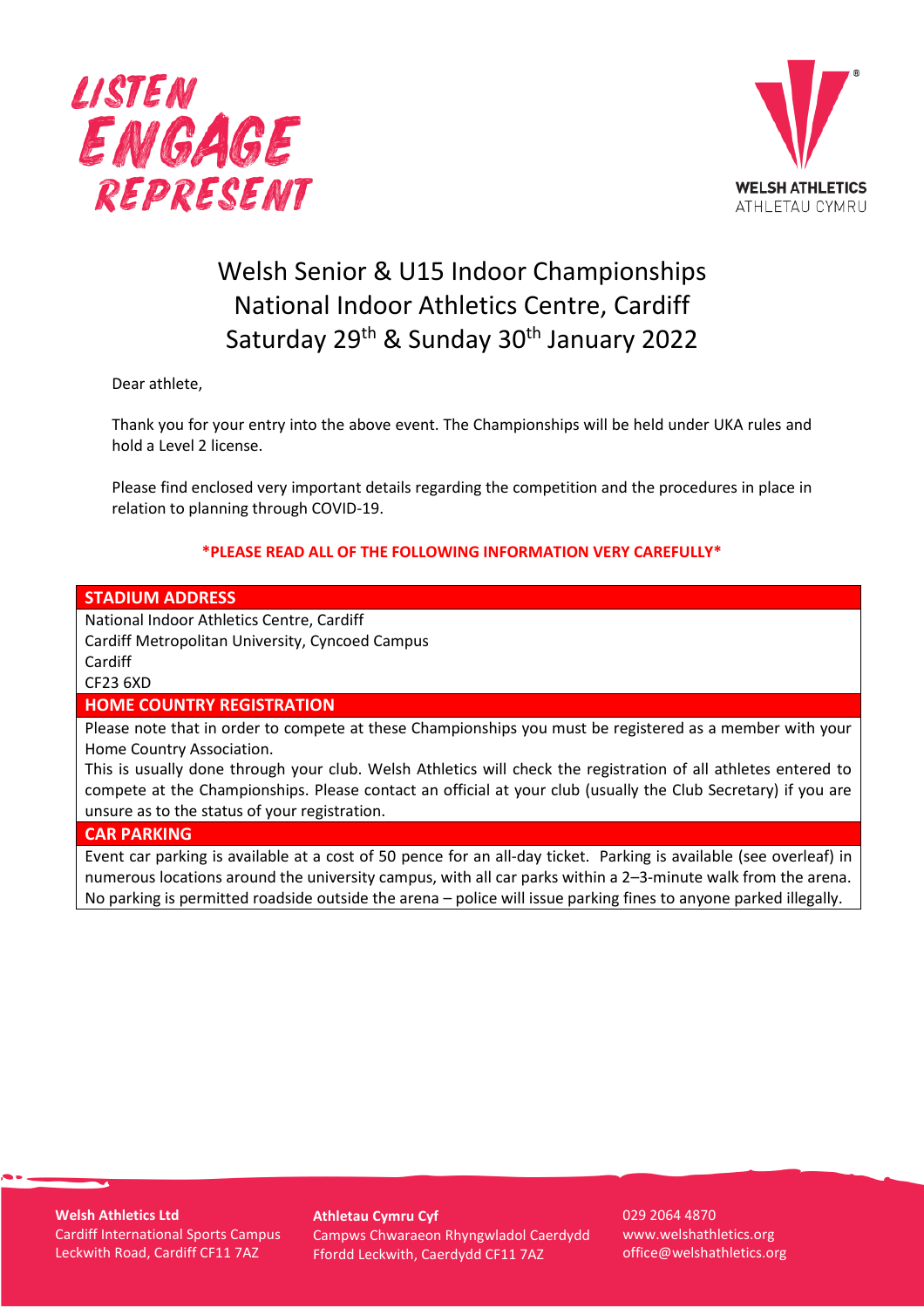



# Welsh Senior & U15 Indoor Championships National Indoor Athletics Centre, Cardiff Saturday 29<sup>th</sup> & Sunday 30<sup>th</sup> January 2022

Dear athlete,

Thank you for your entry into the above event. The Championships will be held under UKA rules and hold a Level 2 license.

Please find enclosed very important details regarding the competition and the procedures in place in relation to planning through COVID-19.

# **\*PLEASE READ ALL OF THE FOLLOWING INFORMATION VERY CAREFULLY\***

### **STADIUM ADDRESS**

National Indoor Athletics Centre, Cardiff Cardiff Metropolitan University, Cyncoed Campus Cardiff CF23 6XD

## **HOME COUNTRY REGISTRATION**

Please note that in order to compete at these Championships you must be registered as a member with your Home Country Association.

This is usually done through your club. Welsh Athletics will check the registration of all athletes entered to compete at the Championships. Please contact an official at your club (usually the Club Secretary) if you are unsure as to the status of your registration.

#### **CAR PARKING**

Event car parking is available at a cost of 50 pence for an all-day ticket. Parking is available (see overleaf) in numerous locations around the university campus, with all car parks within a 2–3-minute walk from the arena. No parking is permitted roadside outside the arena – police will issue parking fines to anyone parked illegally.

**Welsh Athletics Ltd** Cardiff International Sports Campus Leckwith Road, Cardiff CF11 7AZ

**Athletau Cymru Cyf** Campws Chwaraeon Rhyngwladol Caerdydd Ffordd Leckwith, Caerdydd CF11 7AZ

029 2064 4870 www.welshathletics.org office@welshathletics.org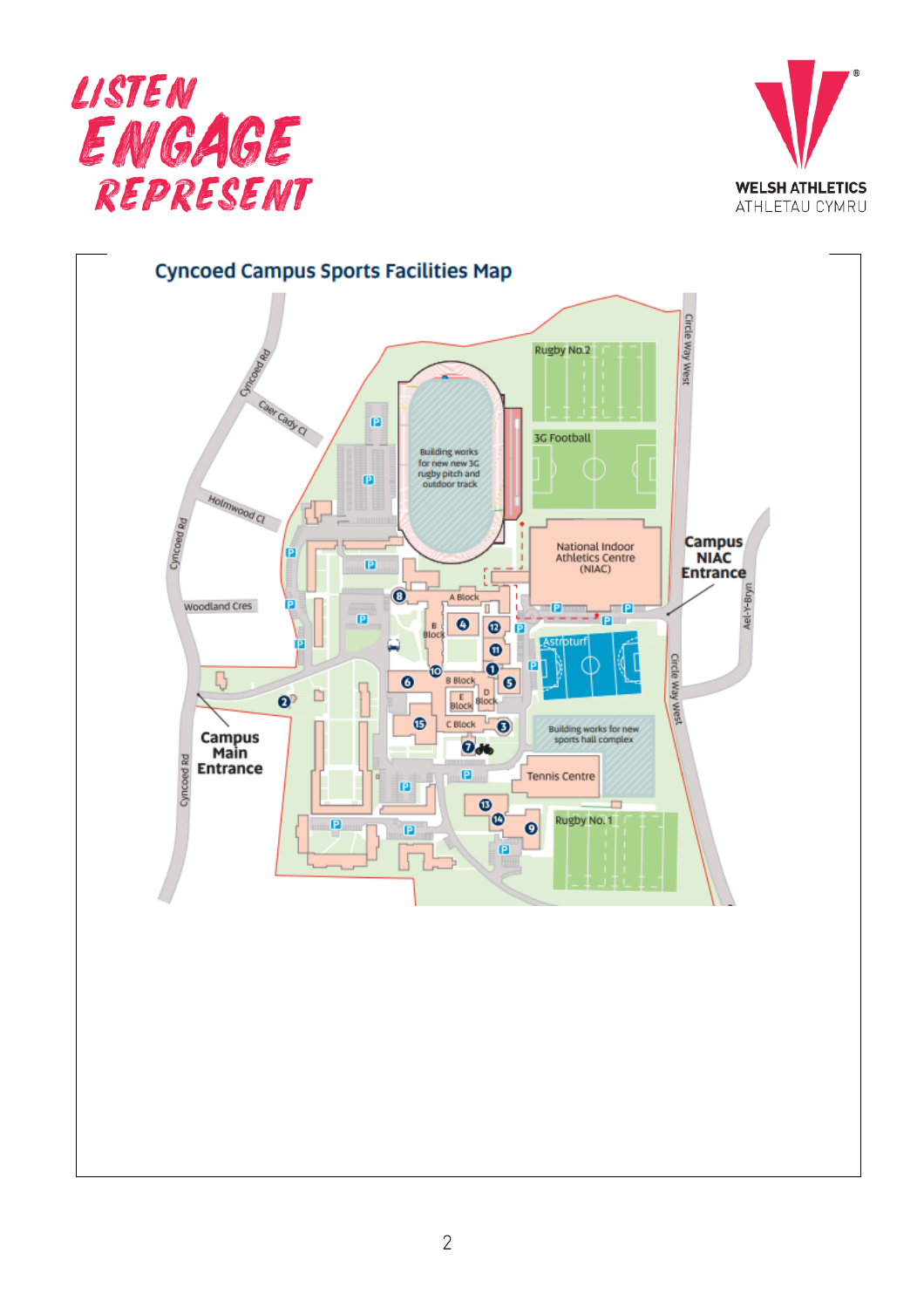



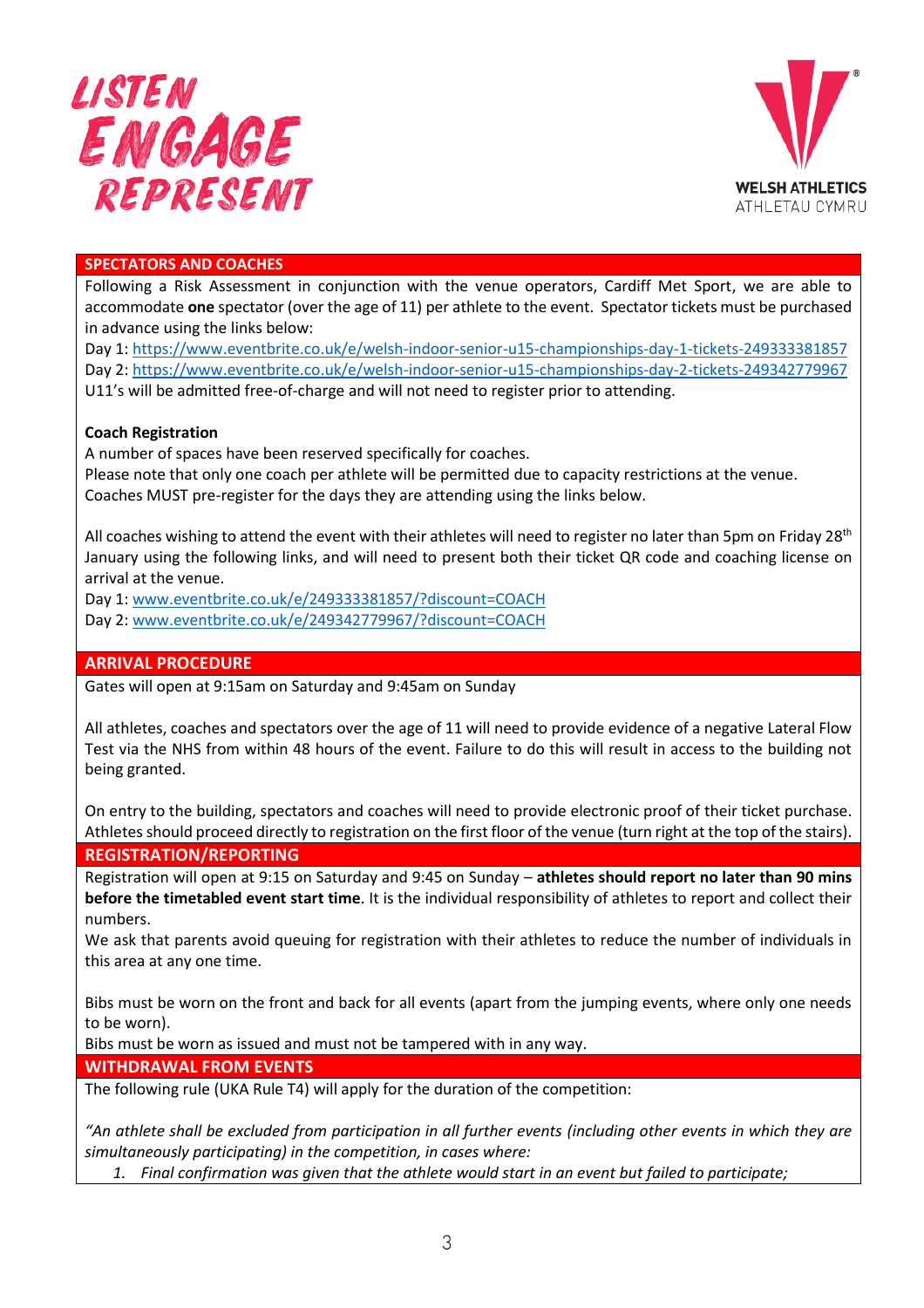



## **SPECTATORS AND COACHES**

Following a Risk Assessment in conjunction with the venue operators, Cardiff Met Sport, we are able to accommodate **one** spectator (over the age of 11) per athlete to the event. Spectator tickets must be purchased in advance using the links below:

Day 1:<https://www.eventbrite.co.uk/e/welsh-indoor-senior-u15-championships-day-1-tickets-249333381857> Day 2:<https://www.eventbrite.co.uk/e/welsh-indoor-senior-u15-championships-day-2-tickets-249342779967> U11's will be admitted free-of-charge and will not need to register prior to attending.

### **Coach Registration**

A number of spaces have been reserved specifically for coaches.

Please note that only one coach per athlete will be permitted due to capacity restrictions at the venue. Coaches MUST pre-register for the days they are attending using the links below.

All coaches wishing to attend the event with their athletes will need to register no later than 5pm on Friday 28<sup>th</sup> January using the following links, and will need to present both their ticket QR code and coaching license on arrival at the venue.

Day 1: [www.eventbrite.co.uk/e/249333381857/?discount=COACH](http://www.eventbrite.co.uk/e/249333381857/?discount=COACH) Day 2: [www.eventbrite.co.uk/e/249342779967/?discount=COACH](http://www.eventbrite.co.uk/e/249342779967/?discount=COACH)

## **ARRIVAL PROCEDURE**

Gates will open at 9:15am on Saturday and 9:45am on Sunday

All athletes, coaches and spectators over the age of 11 will need to provide evidence of a negative Lateral Flow Test via the NHS from within 48 hours of the event. Failure to do this will result in access to the building not being granted.

On entry to the building, spectators and coaches will need to provide electronic proof of their ticket purchase. Athletes should proceed directly to registration on the first floor of the venue (turn right at the top of the stairs).

**REGISTRATION/REPORTING**

Registration will open at 9:15 on Saturday and 9:45 on Sunday – **athletes should report no later than 90 mins before the timetabled event start time**. It is the individual responsibility of athletes to report and collect their numbers.

We ask that parents avoid queuing for registration with their athletes to reduce the number of individuals in this area at any one time.

Bibs must be worn on the front and back for all events (apart from the jumping events, where only one needs to be worn).

Bibs must be worn as issued and must not be tampered with in any way.

#### **WITHDRAWAL FROM EVENTS**

The following rule (UKA Rule T4) will apply for the duration of the competition:

*"An athlete shall be excluded from participation in all further events (including other events in which they are simultaneously participating) in the competition, in cases where:*

*1. Final confirmation was given that the athlete would start in an event but failed to participate;*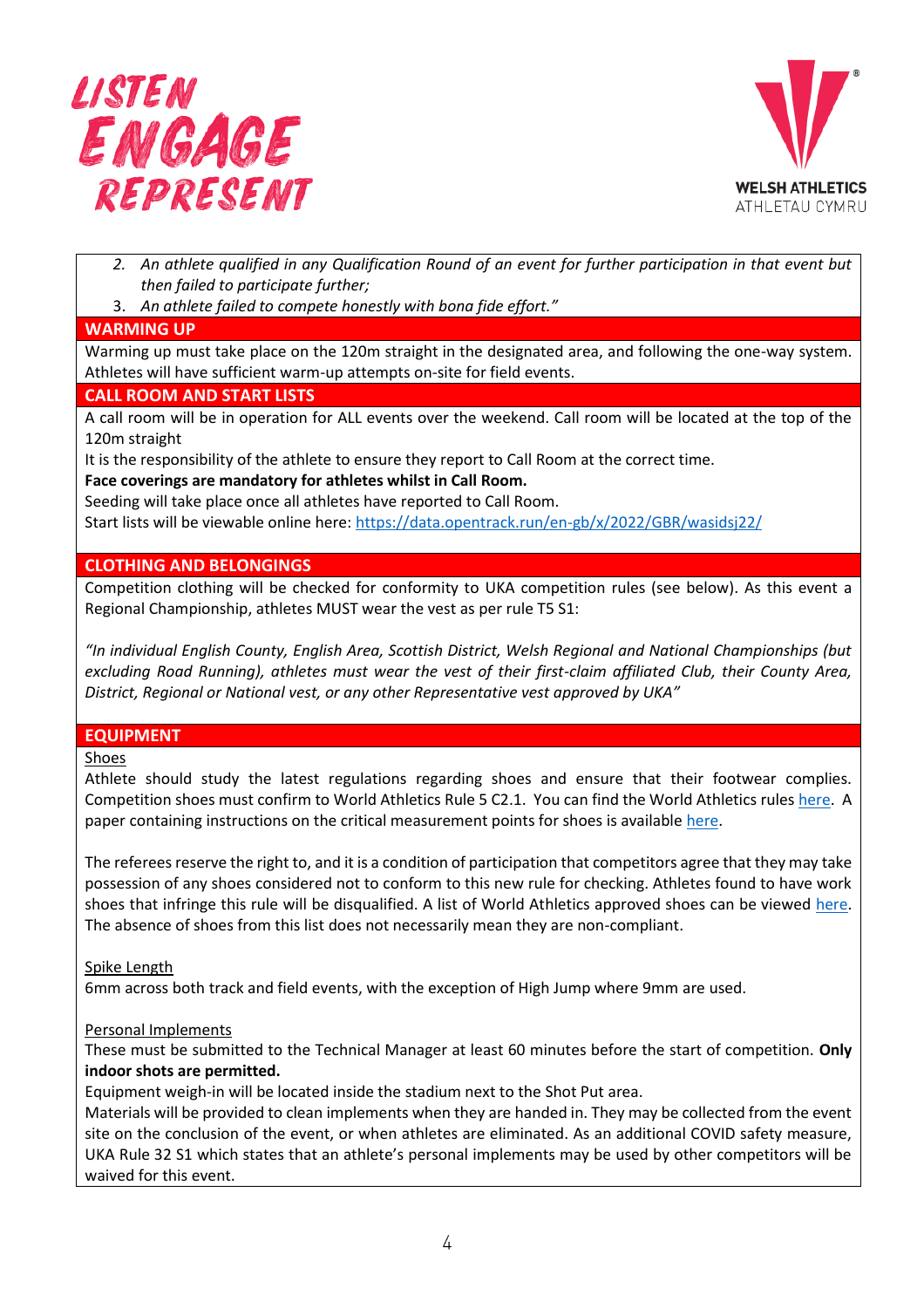



- *2. An athlete qualified in any Qualification Round of an event for further participation in that event but then failed to participate further;*
- 3. *An athlete failed to compete honestly with bona fide effort."*

# **WARMING UP**

Warming up must take place on the 120m straight in the designated area, and following the one-way system. Athletes will have sufficient warm-up attempts on-site for field events.

# **CALL ROOM AND START LISTS**

A call room will be in operation for ALL events over the weekend. Call room will be located at the top of the 120m straight

It is the responsibility of the athlete to ensure they report to Call Room at the correct time.

## **Face coverings are mandatory for athletes whilst in Call Room.**

Seeding will take place once all athletes have reported to Call Room. Start lists will be viewable online here:<https://data.opentrack.run/en-gb/x/2022/GBR/wasidsj22/>

# **CLOTHING AND BELONGINGS**

Competition clothing will be checked for conformity to UKA competition rules (see below). As this event a Regional Championship, athletes MUST wear the vest as per rule T5 S1:

*"In individual English County, English Area, Scottish District, Welsh Regional and National Championships (but excluding Road Running), athletes must wear the vest of their first-claim affiliated Club, their County Area, District, Regional or National vest, or any other Representative vest approved by UKA"*

# **EQUIPMENT**

Shoes

Athlete should study the latest regulations regarding shoes and ensure that their footwear complies. Competition shoes must confirm to World Athletics Rule 5 C2.1. You can find the World Athletics rules [here.](https://www.worldathletics.org/about-iaaf/documents/book-of-rules) A paper containing instructions on the critical measurement points for shoes is available [here.](https://www.uka.org.uk/wp-content/uploads/2020/10/World-Athletics-Shoes-Rule-T5-formerly-143.pdf)

The referees reserve the right to, and it is a condition of participation that competitors agree that they may take possession of any shoes considered not to conform to this new rule for checking. Athletes found to have work shoes that infringe this rule will be disqualified. A list of World Athletics approved shoes can be viewed [here.](https://www.worldathletics.org/news/press-releases/list-of-approved-competition-shoes-published) The absence of shoes from this list does not necessarily mean they are non-compliant.

## Spike Length

6mm across both track and field events, with the exception of High Jump where 9mm are used.

## Personal Implements

These must be submitted to the Technical Manager at least 60 minutes before the start of competition. **Only indoor shots are permitted.**

Equipment weigh-in will be located inside the stadium next to the Shot Put area.

Materials will be provided to clean implements when they are handed in. They may be collected from the event site on the conclusion of the event, or when athletes are eliminated. As an additional COVID safety measure, UKA Rule 32 S1 which states that an athlete's personal implements may be used by other competitors will be waived for this event.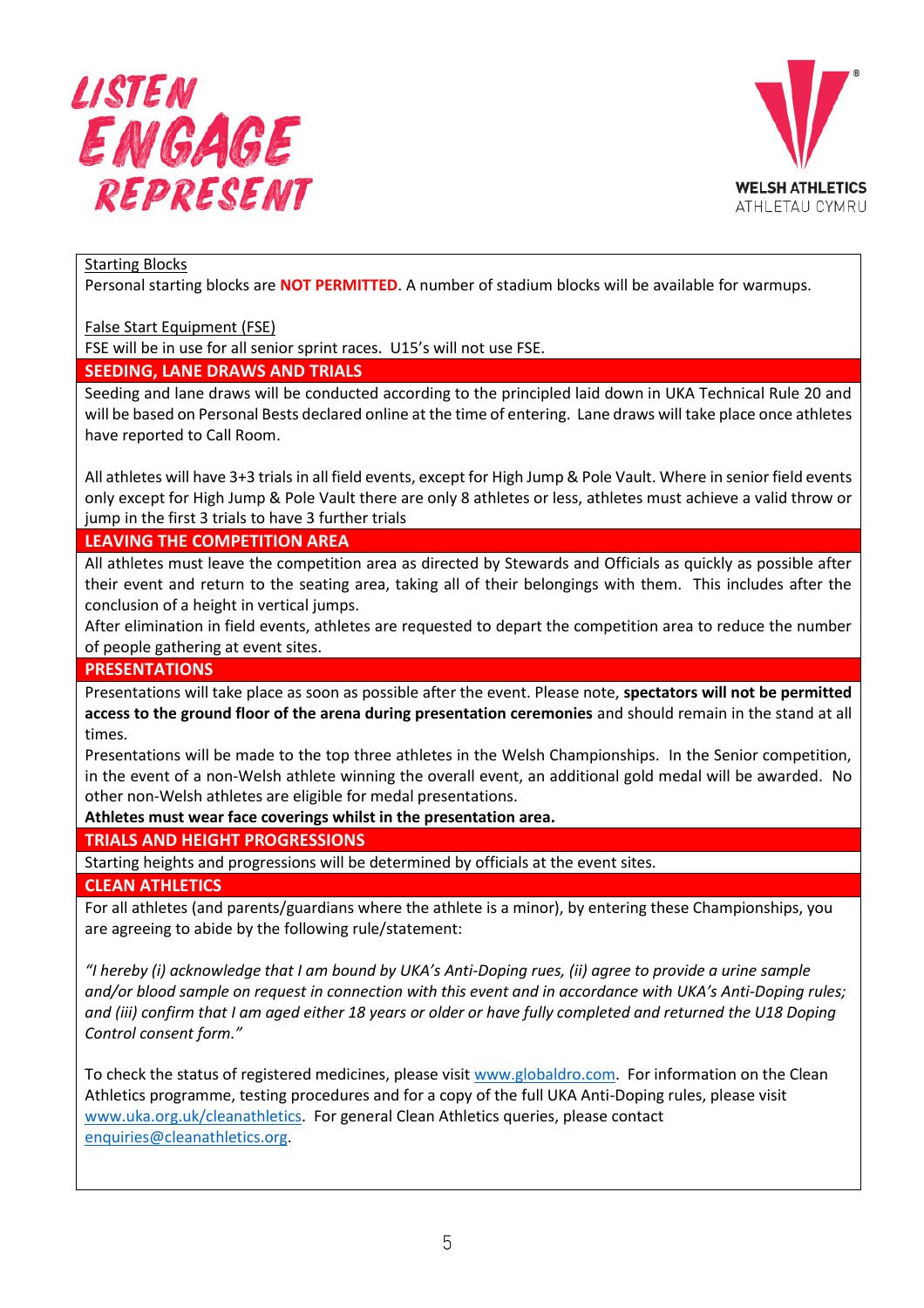



Starting Blocks

Personal starting blocks are **NOT PERMITTED**. A number of stadium blocks will be available for warmups.

False Start Equipment (FSE)

FSE will be in use for all senior sprint races. U15's will not use FSE.

### **SEEDING, LANE DRAWS AND TRIALS**

Seeding and lane draws will be conducted according to the principled laid down in UKA Technical Rule 20 and will be based on Personal Bests declared online at the time of entering. Lane draws will take place once athletes have reported to Call Room.

All athletes will have 3+3 trials in all field events, except for High Jump & Pole Vault. Where in senior field events only except for High Jump & Pole Vault there are only 8 athletes or less, athletes must achieve a valid throw or jump in the first 3 trials to have 3 further trials

**LEAVING THE COMPETITION AREA**

All athletes must leave the competition area as directed by Stewards and Officials as quickly as possible after their event and return to the seating area, taking all of their belongings with them. This includes after the conclusion of a height in vertical jumps.

After elimination in field events, athletes are requested to depart the competition area to reduce the number of people gathering at event sites.

## **PRESENTATIONS**

Presentations will take place as soon as possible after the event. Please note, **spectators will not be permitted access to the ground floor of the arena during presentation ceremonies** and should remain in the stand at all times.

Presentations will be made to the top three athletes in the Welsh Championships. In the Senior competition, in the event of a non-Welsh athlete winning the overall event, an additional gold medal will be awarded. No other non-Welsh athletes are eligible for medal presentations.

**Athletes must wear face coverings whilst in the presentation area.** 

## **TRIALS AND HEIGHT PROGRESSIONS**

Starting heights and progressions will be determined by officials at the event sites.

### **CLEAN ATHLETICS**

For all athletes (and parents/guardians where the athlete is a minor), by entering these Championships, you are agreeing to abide by the following rule/statement:

*"I hereby (i) acknowledge that I am bound by UKA's Anti-Doping rues, (ii) agree to provide a urine sample and/or blood sample on request in connection with this event and in accordance with UKA's Anti-Doping rules; and (iii) confirm that I am aged either 18 years or older or have fully completed and returned the U18 Doping Control consent form."*

To check the status of registered medicines, please visit [www.globaldro.com.](http://www.globaldro.com/) For information on the Clean Athletics programme, testing procedures and for a copy of the full UKA Anti-Doping rules, please visit [www.uka.org.uk/cleanathletics.](http://www.uka.org.uk/cleanathletics) For general Clean Athletics queries, please contact [enquiries@cleanathletics.org.](mailto:enquiries@cleanathletics.org)